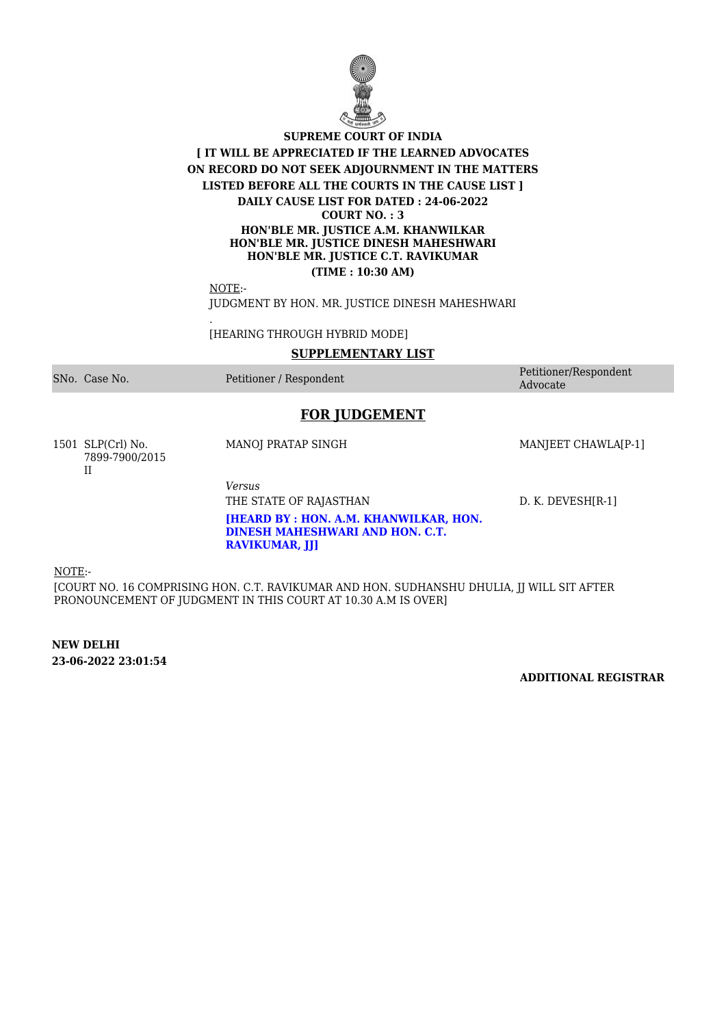

### **SUPREME COURT OF INDIA [ IT WILL BE APPRECIATED IF THE LEARNED ADVOCATES ON RECORD DO NOT SEEK ADJOURNMENT IN THE MATTERS LISTED BEFORE ALL THE COURTS IN THE CAUSE LIST ] DAILY CAUSE LIST FOR DATED : 24-06-2022 COURT NO. : 3 HON'BLE MR. JUSTICE A.M. KHANWILKAR HON'BLE MR. JUSTICE DINESH MAHESHWARI HON'BLE MR. JUSTICE C.T. RAVIKUMAR (TIME : 10:30 AM)**

NOTE:-

.

JUDGMENT BY HON. MR. JUSTICE DINESH MAHESHWARI

[HEARING THROUGH HYBRID MODE]

#### **SUPPLEMENTARY LIST**

SNo. Case No. Petitioner / Respondent Petitioner/Respondent

Advocate

# **FOR JUDGEMENT**

**[HEARD BY : HON. A.M. KHANWILKAR, HON. DINESH MAHESHWARI AND HON. C.T.**

1501 SLP(Crl) No. 7899-7900/2015 II

MANOJ PRATAP SINGH MANJEET CHAWLA[P-1]

*Versus*

**RAVIKUMAR, JJ]**

THE STATE OF RAJASTHAN D. K. DEVESH[R-1]

NOTE:-

[COURT NO. 16 COMPRISING HON. C.T. RAVIKUMAR AND HON. SUDHANSHU DHULIA, JJ WILL SIT AFTER PRONOUNCEMENT OF JUDGMENT IN THIS COURT AT 10.30 A.M IS OVER]

**NEW DELHI 23-06-2022 23:01:54**

**ADDITIONAL REGISTRAR**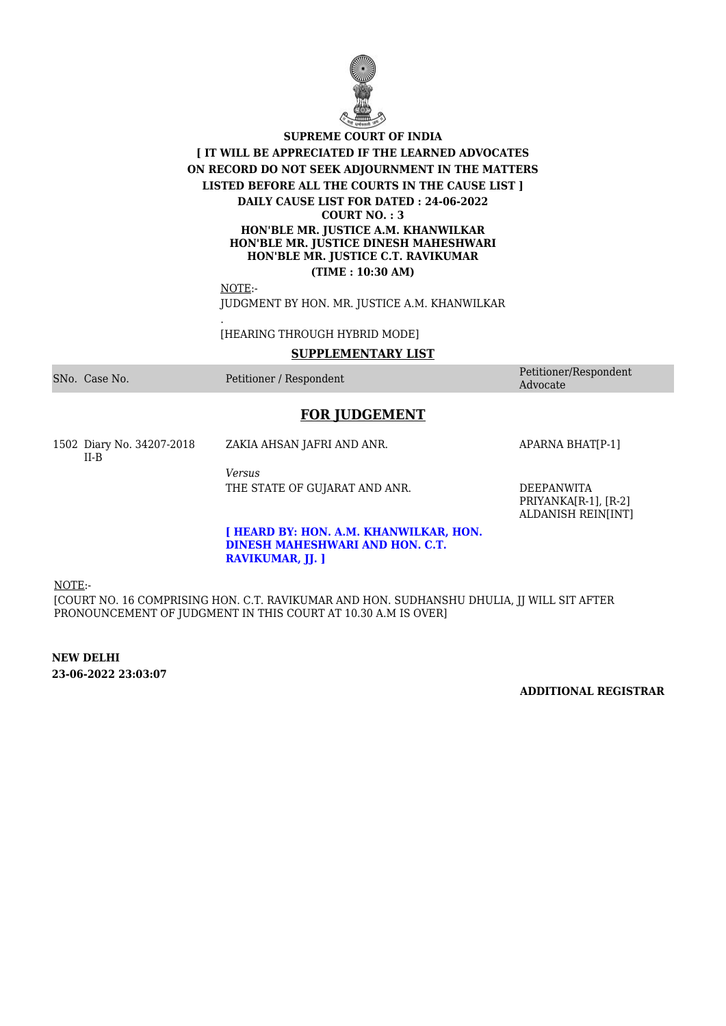

### **SUPREME COURT OF INDIA [ IT WILL BE APPRECIATED IF THE LEARNED ADVOCATES ON RECORD DO NOT SEEK ADJOURNMENT IN THE MATTERS LISTED BEFORE ALL THE COURTS IN THE CAUSE LIST ] DAILY CAUSE LIST FOR DATED : 24-06-2022 COURT NO. : 3 HON'BLE MR. JUSTICE A.M. KHANWILKAR HON'BLE MR. JUSTICE DINESH MAHESHWARI HON'BLE MR. JUSTICE C.T. RAVIKUMAR (TIME : 10:30 AM)**

NOTE:-

.

JUDGMENT BY HON. MR. JUSTICE A.M. KHANWILKAR

[HEARING THROUGH HYBRID MODE]

#### **SUPPLEMENTARY LIST**

SNo. Case No. 2008 Petitioner / Respondent Petitioner / Respondent Petitioner / Respondent Petitioner / Respondent

Advocate

# **FOR JUDGEMENT**

1502 Diary No. 34207-2018 II-B

ZAKIA AHSAN JAFRI AND ANR. APARNA BHAT[P-1]

*Versus* THE STATE OF GUJARAT AND ANR. DEEPANWITA

PRIYANKA[R-1], [R-2] ALDANISH REIN[INT]

#### **[ HEARD BY: HON. A.M. KHANWILKAR, HON. DINESH MAHESHWARI AND HON. C.T. RAVIKUMAR, JJ. ]**

NOTE:-

[COURT NO. 16 COMPRISING HON. C.T. RAVIKUMAR AND HON. SUDHANSHU DHULIA, JJ WILL SIT AFTER PRONOUNCEMENT OF JUDGMENT IN THIS COURT AT 10.30 A.M IS OVER]

**NEW DELHI 23-06-2022 23:03:07**

**ADDITIONAL REGISTRAR**